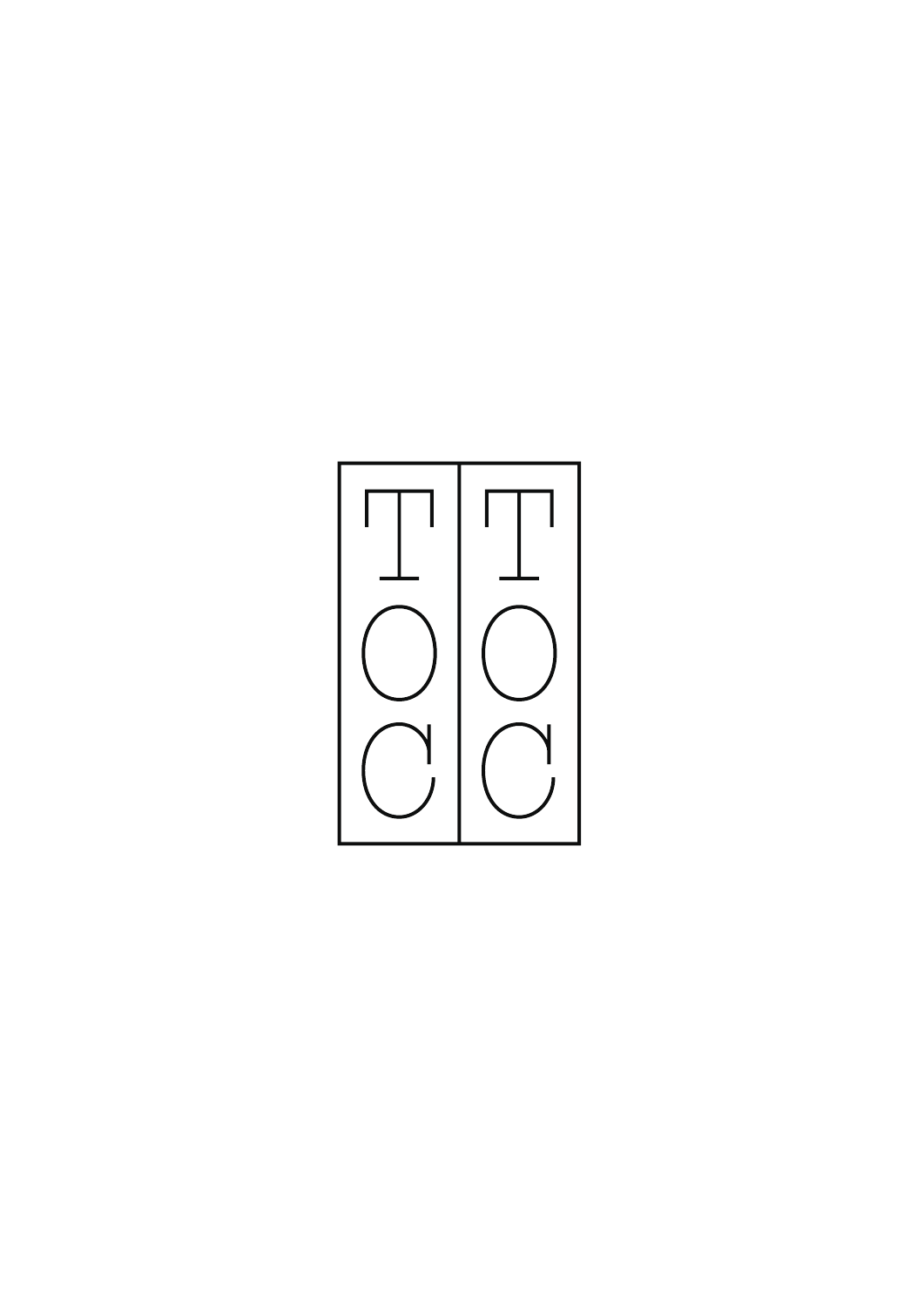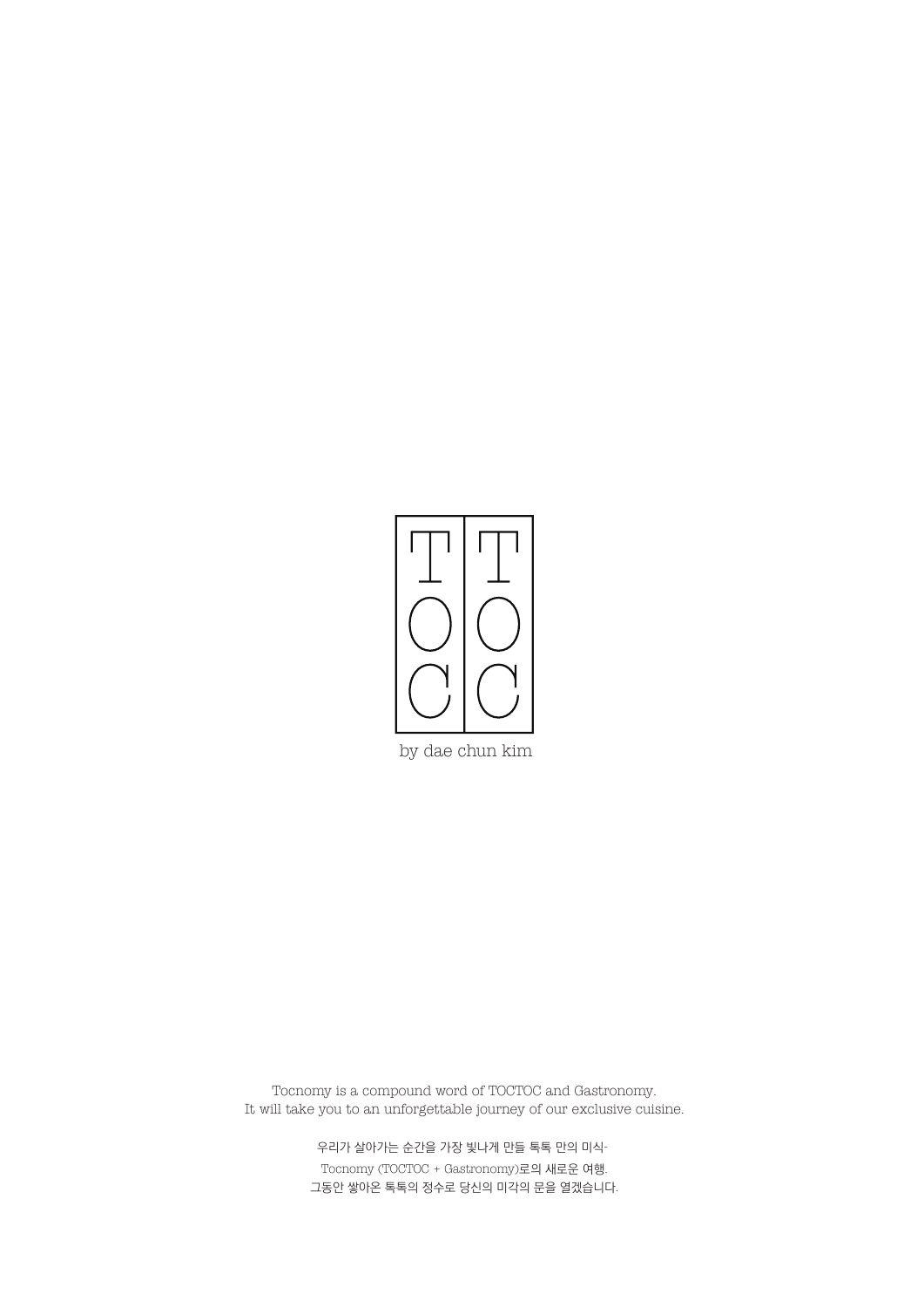

Tocnomy is a compound word of TOCTOC and Gastronomy. It will take you to an unforgettable journey of our exclusive cuisine.

> 우리가 살아가는 순간을 가장 빛나게 만들 톡톡 만의 미식-Tocnomy (TOCTOC + Gastronomy)로의 새로운 여행. 그동안 쌓아온 톡톡의 정수로 당신의 미각의 문을 열겠습니다.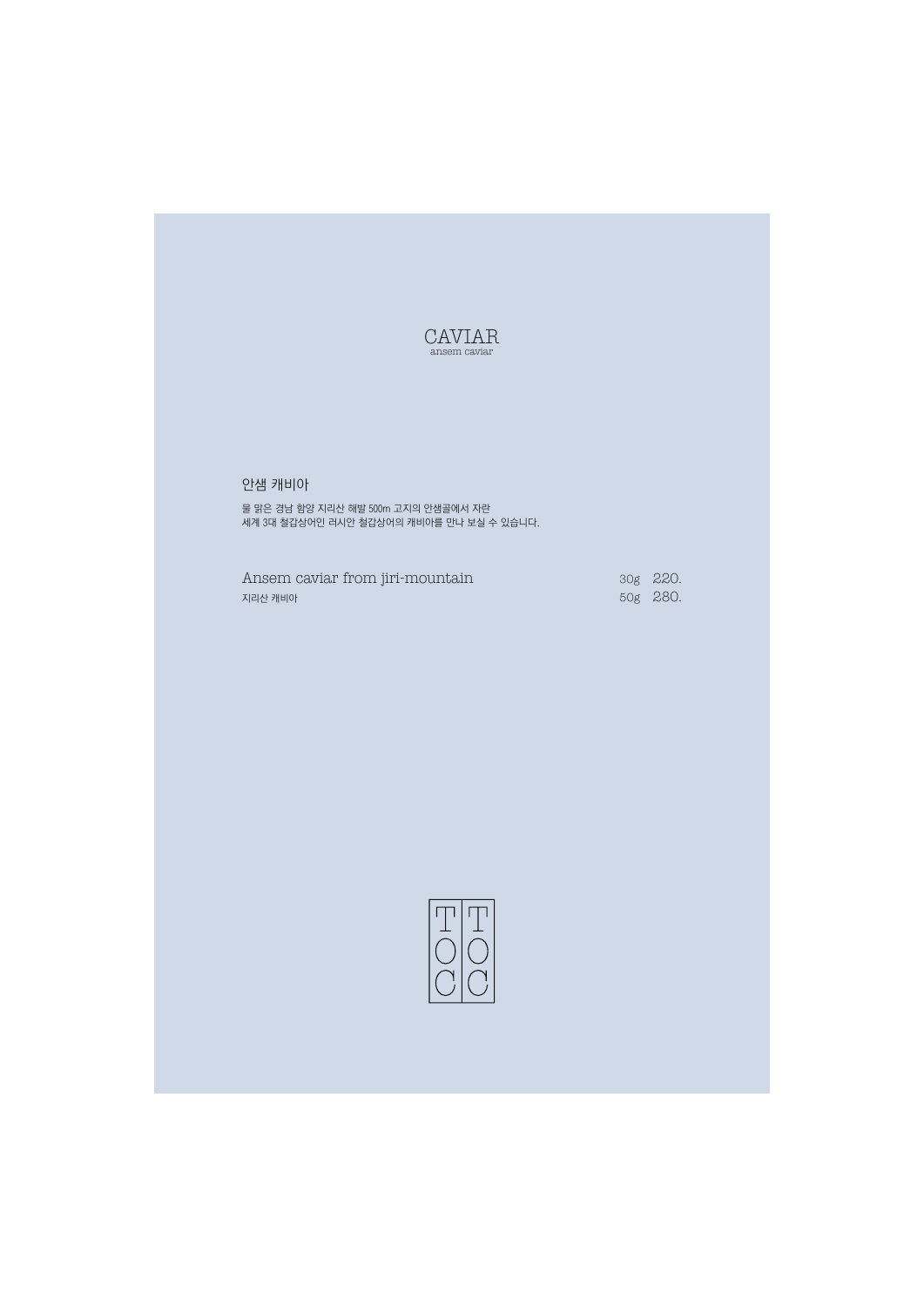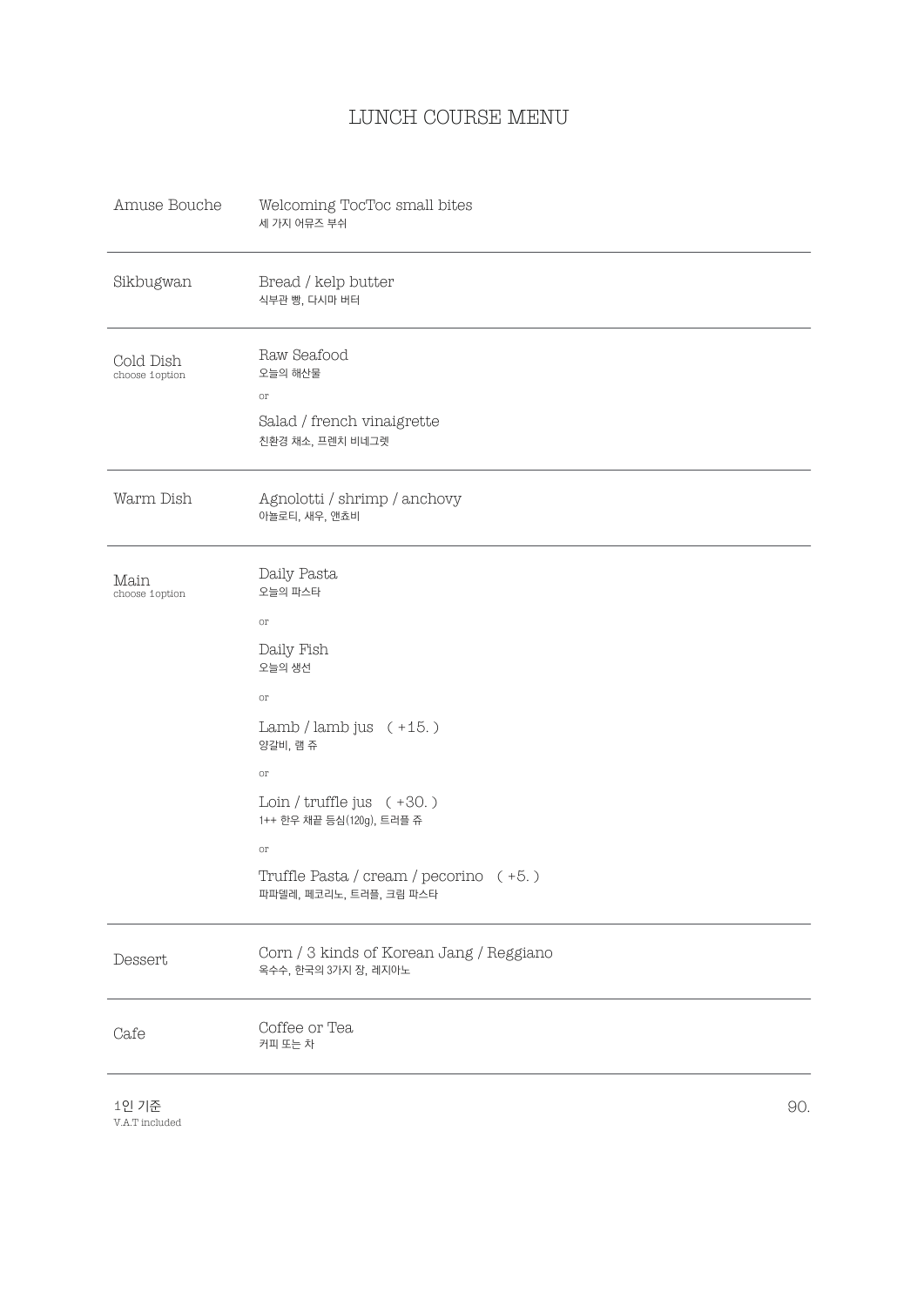## LUNCH COURSE MENU

| Amuse Bouche                | Welcoming TocToc small bites<br>세 가지 어뮤즈 부쉬                                                                                                                                          |     |
|-----------------------------|--------------------------------------------------------------------------------------------------------------------------------------------------------------------------------------|-----|
| Sikbugwan                   | Bread / kelp butter<br>식부관 빵, 다시마 버터                                                                                                                                                 |     |
| Cold Dish<br>choose 1option | Raw Seafood<br>오늘의 해산물<br>or<br>Salad / french vinaigrette<br>친환경 채소, 프렌치 비네그렛                                                                                                       |     |
| Warm Dish                   | Agnolotti / shrimp / anchovy<br>아뇰로티, 새우, 앤쵸비                                                                                                                                        |     |
| Main<br>choose 1option      | Daily Pasta<br>오늘의 파스타<br>$_{\mathrm{or}}$<br>Daily Fish<br>오늘의 생선<br>or<br>Lamb / lamb jus $(+15.)$<br>양갈비, 램 쥬<br>or<br>Loin / $truffle$ jus $(+30.)$<br>1++ 한우 채끝 등심(120g), 트러플 쥬 |     |
|                             | or<br>Truffle Pasta / cream / pecorino (+5.)<br>파파델레, 페코리노, 트러플, 크림 파스타                                                                                                              |     |
| Dessert                     | Corn / 3 kinds of Korean Jang / Reggiano<br>옥수수, 한국의 3가지 장, 레지아노                                                                                                                     |     |
| Cafe                        | Coffee or Tea<br>커피 또는 차                                                                                                                                                             |     |
| 1인 기준<br>V.A.T included     |                                                                                                                                                                                      | 90. |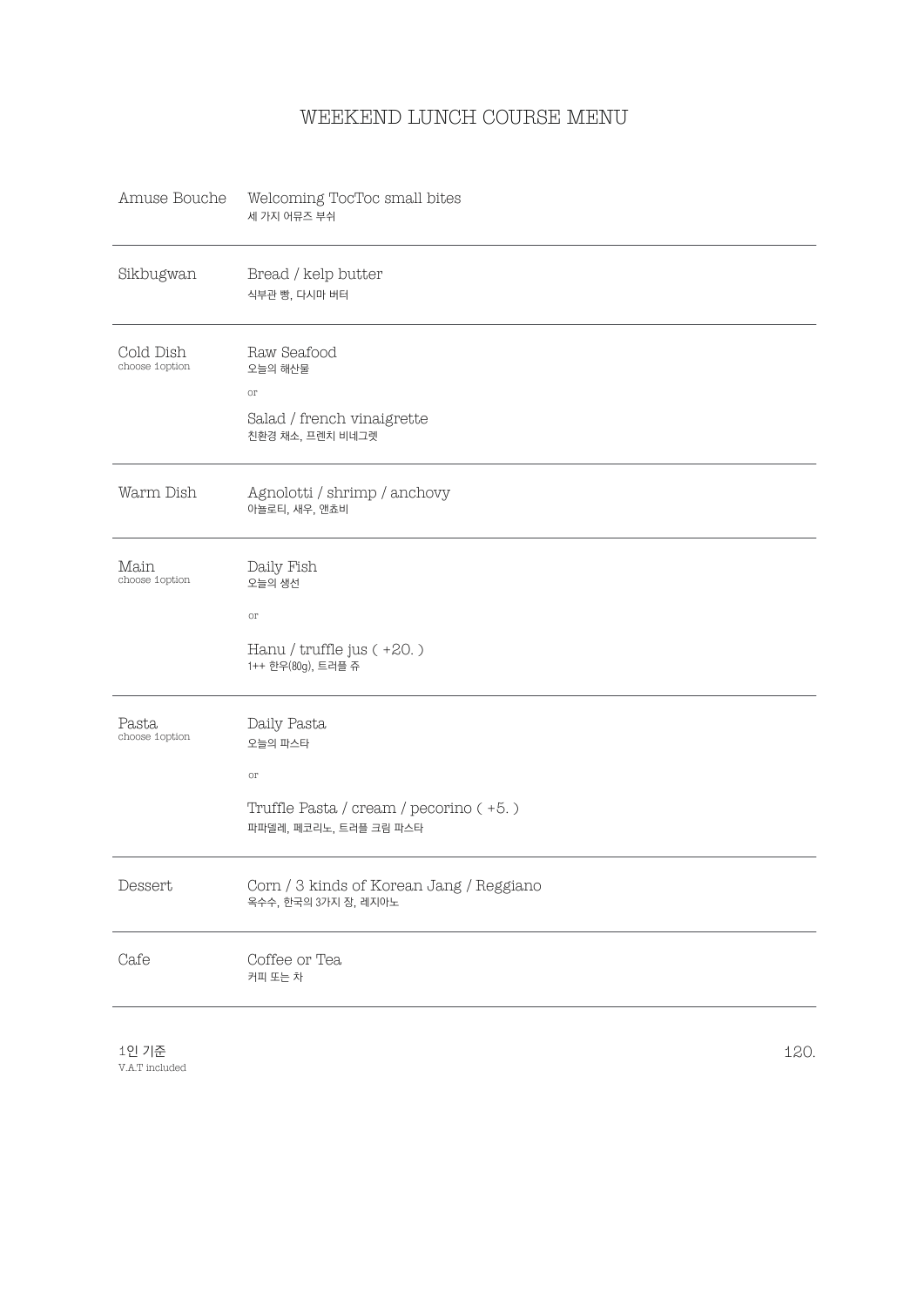## WEEKEND LUNCH COURSE MENU

| Amuse Bouche                 | Welcoming TocToc small bites<br>세 가지 어뮤즈 부쉬                                                                    |
|------------------------------|----------------------------------------------------------------------------------------------------------------|
| Sikbugwan                    | Bread / kelp butter<br>식부관 빵, 다시마 버터                                                                           |
| Cold Dish<br>choose 1 option | Raw Seafood<br>오늘의 해산물<br>$_{\mathrm{OT}}$<br>Salad / french vinaigrette<br>친환경 채소, 프렌치 비네그렛                   |
| Warm Dish                    | Agnolotti / shrimp / anchovy<br>아뇰로티, 새우, 앤쵸비                                                                  |
| Main<br>choose 1 option      | Daily Fish<br>오늘의 생선<br>$_{\mathrm{or}}$                                                                       |
|                              | Hanu / truffle jus (+20.)<br>1++ 한우(80g), 트러플 쥬                                                                |
| Pasta<br>choose 1 option     | Daily Pasta<br>오늘의 파스타<br>$_{\mathrm{or}}$<br>Truffle Pasta / cream / pecorino (+5.)<br>파파델레, 페코리노, 트러플 크림 파스타 |
| Dessert                      | Corn / 3 kinds of Korean Jang / Reggiano<br>옥수수, 한국의 3가지 장, 레지아노                                               |
| Cafe                         | Coffee or Tea<br>커피 또는 차                                                                                       |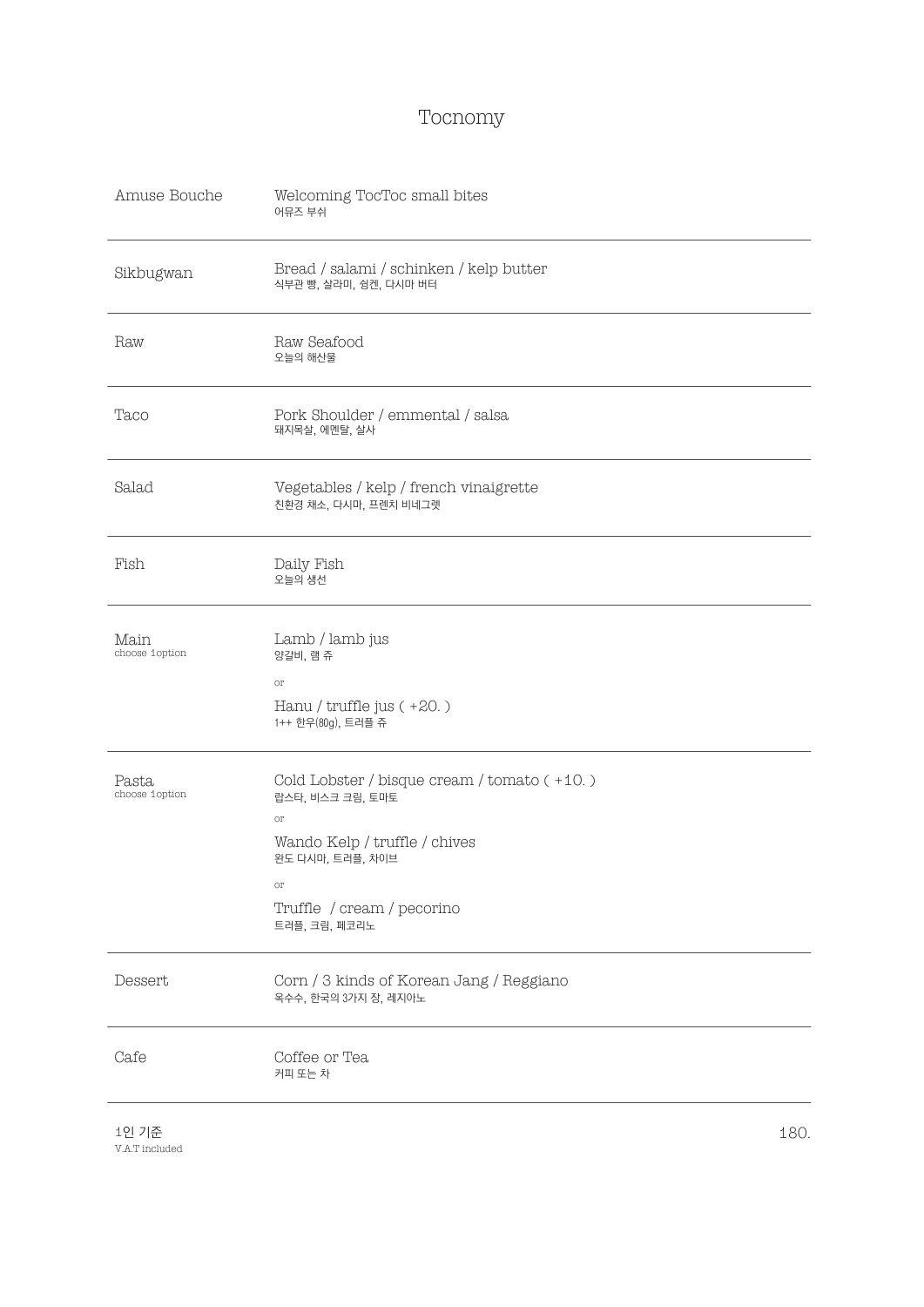## Tocnomy

| Amuse Bouche            | Welcoming TocToc small bites<br>어뮤즈 부쉬                                                                                                                                          |
|-------------------------|---------------------------------------------------------------------------------------------------------------------------------------------------------------------------------|
| Sikbugwan               | Bread / salami / schinken / kelp butter<br>식부관 빵, 살라미, 슁켄, 다시마 버터                                                                                                               |
| Raw                     | Raw Seafood<br>오늘의 해산물                                                                                                                                                          |
| Taco                    | Pork Shoulder / emmental / salsa<br>돼지목살, 에멘탈, 살사                                                                                                                               |
| Salad                   | Vegetables / kelp / french vinaigrette<br>친환경 채소, 다시마, 프렌치 비네그렛                                                                                                                 |
| Fish                    | Daily Fish<br>오늘의 생선                                                                                                                                                            |
| Main<br>choose 1option  | Lamb / lamb jus<br>양갈비, 램 쥬<br>or<br>Hanu / truffle jus (+20.)<br>1++ 한우(80g), 트러플 쥬                                                                                            |
| Pasta<br>choose 1option | Cold Lobster / bisque cream / tomato (+10.)<br>랍스타, 비스크 크림, 토마토<br>or<br>Wando Kelp / truffle / chives<br>완도 다시마, 트러플, 차이브<br>or<br>Truffle / cream / pecorino<br>트러플, 크림, 페코리노 |
| Dessert                 | Corn / 3 kinds of Korean Jang / Reggiano<br>옥수수, 한국의 3가지 장, 레지아노                                                                                                                |
| Cafe                    | Coffee or Tea<br>커피 또는 차                                                                                                                                                        |
|                         |                                                                                                                                                                                 |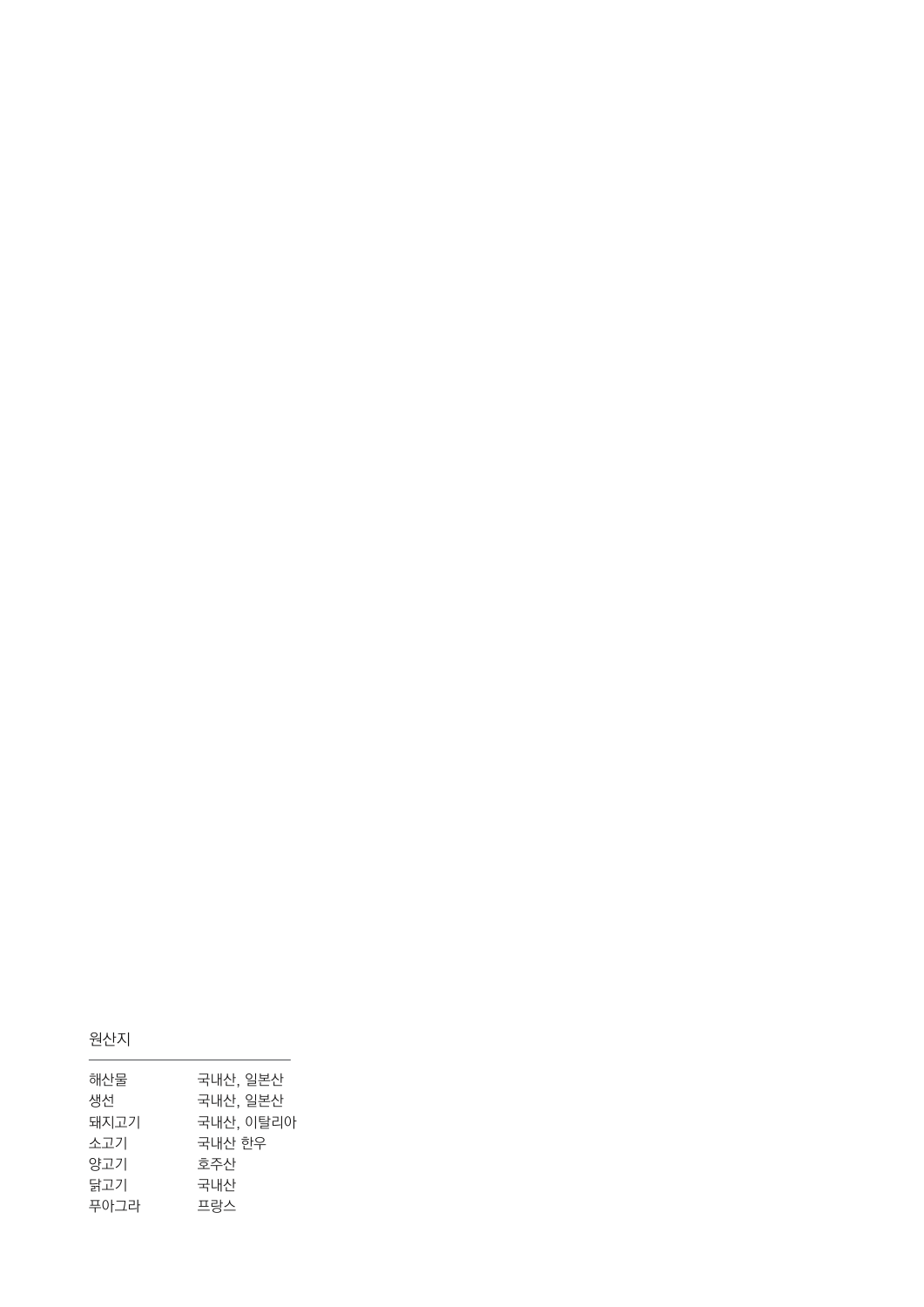|--|--|

| 해산물  | 국내산, 일본산  |
|------|-----------|
| 생선   | 국내산, 일본산  |
| 돼지고기 | 국내산, 이탈리아 |
| 소고기  | 국내산 한우    |
| 양고기  | 호주산       |
| 닭고기  | 국내산       |
| 푸아그라 | 프랑스       |